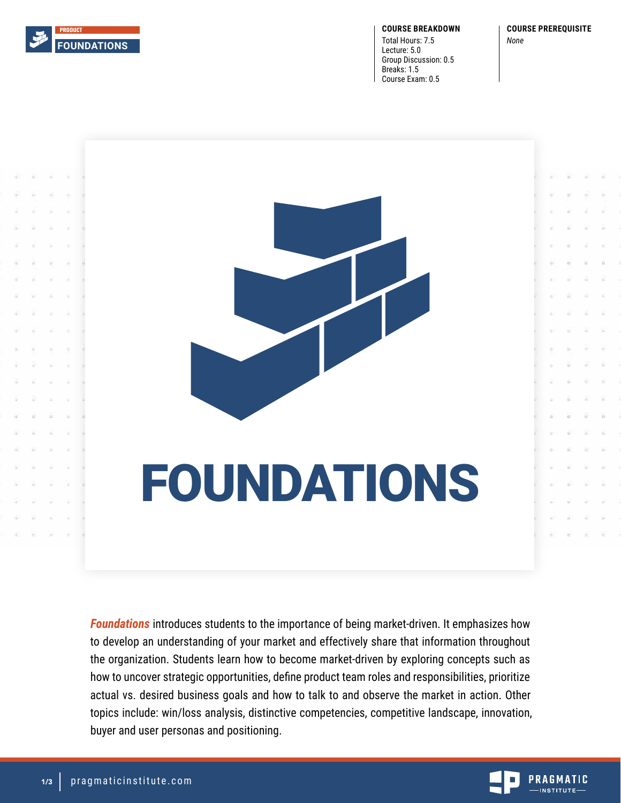

**COURSE BREAKDOWN**

Total Hours: 7.5 Lecture: 5.0 Group Discussion: 0.5 Breaks: 1.5 Course Exam: 0.5

**COURSE PREREQUISITE**



*Foundations* introduces students to the importance of being market-driven. It emphasizes how to develop an understanding of your market and effectively share that information throughout the organization. Students learn how to become market-driven by exploring concepts such as how to uncover strategic opportunities, define product team roles and responsibilities, prioritize actual vs. desired business goals and how to talk to and observe the market in action. Other topics include: win/loss analysis, distinctive competencies, competitive landscape, innovation, buyer and user personas and positioning.

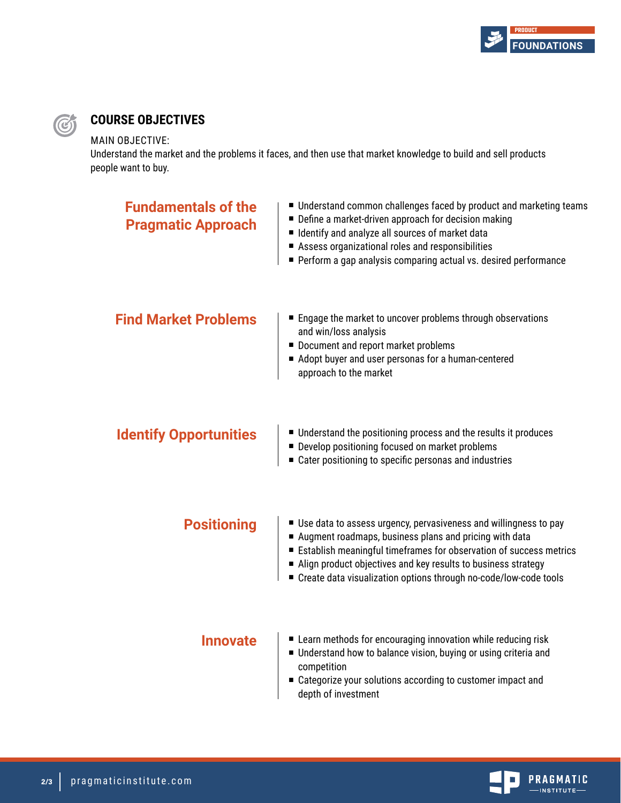

# **COURSE OBJECTIVES**

### MAIN OBJECTIVE:

G

Understand the market and the problems it faces, and then use that market knowledge to build and sell products people want to buy.

| <b>Fundamentals of the</b><br><b>Pragmatic Approach</b> | ■ Understand common challenges faced by product and marketing teams<br>■ Define a market-driven approach for decision making<br>I Identify and analyze all sources of market data<br>Assess organizational roles and responsibilities<br>Perform a gap analysis comparing actual vs. desired performance                                  |
|---------------------------------------------------------|-------------------------------------------------------------------------------------------------------------------------------------------------------------------------------------------------------------------------------------------------------------------------------------------------------------------------------------------|
| <b>Find Market Problems</b>                             | ■ Engage the market to uncover problems through observations<br>and win/loss analysis<br>Document and report market problems<br>Adopt buyer and user personas for a human-centered<br>approach to the market                                                                                                                              |
| <b>Identify Opportunities</b>                           | ■ Understand the positioning process and the results it produces<br>Develop positioning focused on market problems<br>■ Cater positioning to specific personas and industries                                                                                                                                                             |
| <b>Positioning</b>                                      | ■ Use data to assess urgency, pervasiveness and willingness to pay<br>Augment roadmaps, business plans and pricing with data<br>Establish meaningful timeframes for observation of success metrics<br>Align product objectives and key results to business strategy<br>■ Create data visualization options through no-code/low-code tools |
| <b>Innovate</b>                                         | ■ Learn methods for encouraging innovation while reducing risk<br>Understand how to balance vision, buying or using criteria and<br>competition<br>■ Categorize your solutions according to customer impact and<br>depth of investment                                                                                                    |